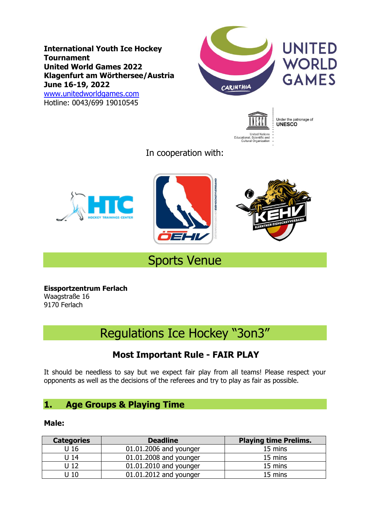**International Youth Ice Hockey Tournament United World Games 2022 Klagenfurt am Wörthersee/Austria June 16-19, 2022** [www.unitedworldgames.com](http://www.unitedworldgames.com/) Hotline: 0043/699 19010545





Under the patronage of<br>**UNESCO** 

In cooperation with:







## Sports Venue

**Eissportzentrum Ferlach** Waagstraße 16 9170 Ferlach

# Regulations Ice Hockey "3on3"

## **Most Important Rule - FAIR PLAY**

It should be needless to say but we expect fair play from all teams! Please respect your opponents as well as the decisions of the referees and try to play as fair as possible.

## **1. Age Groups & Playing Time**

#### **Male:**

| <b>Categories</b> | <b>Deadline</b>        | <b>Playing time Prelims.</b> |
|-------------------|------------------------|------------------------------|
| U <sub>16</sub>   | 01.01.2006 and younger | 15 mins                      |
| U <sub>14</sub>   | 01.01.2008 and younger | 15 mins                      |
| U <sub>12</sub>   | 01.01.2010 and younger | 15 mins                      |
| U 10              | 01.01.2012 and younger | 15 mins                      |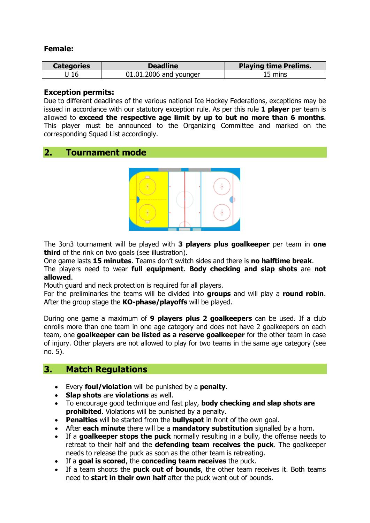#### **Female:**

| <b>Categories</b> | <b>Deadline</b>        | <b>Playing time Prelims.</b> |
|-------------------|------------------------|------------------------------|
|                   | 01.01.2006 and younger | 15 mins                      |

#### **Exception permits:**

Due to different deadlines of the various national Ice Hockey Federations, exceptions may be issued in accordance with our statutory exception rule. As per this rule **1 player** per team is allowed to **exceed the respective age limit by up to but no more than 6 months**. This player must be announced to the Organizing Committee and marked on the corresponding Squad List accordingly.

## **2. Tournament mode**



The 3on3 tournament will be played with **3 players plus goalkeeper** per team in **one third** of the rink on two goals (see illustration).

One game lasts **15 minutes**. Teams don't switch sides and there is **no halftime break**.

The players need to wear **full equipment**. **Body checking and slap shots** are **not allowed**.

Mouth guard and neck protection is required for all players.

For the preliminaries the teams will be divided into **groups** and will play a **round robin**. After the group stage the **KO-phase/playoffs** will be played.

During one game a maximum of **9 players plus 2 goalkeepers** can be used. If a club enrolls more than one team in one age category and does not have 2 goalkeepers on each team, one **goalkeeper can be listed as a reserve goalkeeper** for the other team in case of injury. Other players are not allowed to play for two teams in the same age category (see no. 5).

## **3. Match Regulations**

- Every **foul/violation** will be punished by a **penalty**.
- **Slap shots** are **violations** as well.
- To encourage good technique and fast play, **body checking and slap shots are prohibited**. Violations will be punished by a penalty.
- **Penalties** will be started from the **bullyspot** in front of the own goal.
- After **each minute** there will be a **mandatory substitution** signalled by a horn.
- If a **goalkeeper stops the puck** normally resulting in a bully, the offense needs to retreat to their half and the **defending team receives the puck**. The goalkeeper needs to release the puck as soon as the other team is retreating.
- If a **goal is scored**, the **conceding team receives** the puck.
- If a team shoots the **puck out of bounds**, the other team receives it. Both teams need to **start in their own half** after the puck went out of bounds.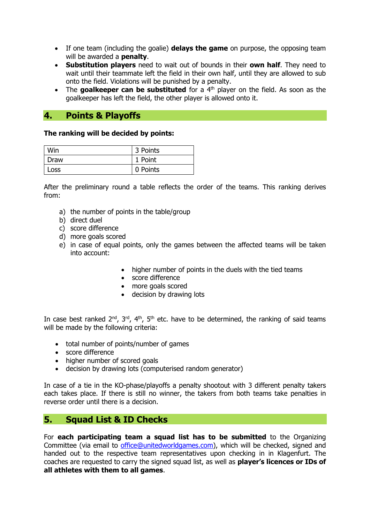- If one team (including the goalie) **delays the game** on purpose, the opposing team will be awarded a **penalty**.
- **Substitution players** need to wait out of bounds in their **own half**. They need to wait until their teammate left the field in their own half, until they are allowed to sub onto the field. Violations will be punished by a penalty.
- The **goalkeeper can be substituted** for a 4<sup>th</sup> player on the field. As soon as the goalkeeper has left the field, the other player is allowed onto it.

## **4. Points & Playoffs**

#### **The ranking will be decided by points:**

| Win   | 3 Points |
|-------|----------|
| Draw  | 1 Point  |
| LOSS. | 0 Points |

After the preliminary round a table reflects the order of the teams. This ranking derives from:

- a) the number of points in the table/group
- b) direct duel
- c) [score](http://de.pons.com/%C3%BCbersetzung/englisch-deutsch/score) [difference](http://de.pons.com/%C3%BCbersetzung/englisch-deutsch/difference)
- d) more goals scored
- e) in case of equal points, only the games between the affected teams will be taken into account:
	- higher number of points in the duels with the tied teams
	- score difference
	- more goals scored
	- decision by drawing lots

In case best ranked  $2^{nd}$ ,  $3^{rd}$ ,  $4^{th}$ ,  $5^{th}$  etc. have to be determined, the ranking of said teams will be made by the following criteria:

- total number of points/number of games
- score difference
- higher number of scored goals
- decision by drawing lots [\(computerised](http://de.pons.com/%C3%BCbersetzung/englisch-deutsch/computerised) random generator)

In case of a tie in the KO-phase/playoffs a penalty shootout with 3 different penalty takers each takes place. If there is still no winner, the takers from both teams take penalties in reverse order until there is a decision.

## **5. Squad List & ID Checks**

For **each participating team a squad list has to be submitted** to the Organizing Committee (via email to [office@unitedworldgames.com\)](mailto:office@unitedworldgames.com), which will be checked, signed and handed out to the respective team representatives upon checking in in Klagenfurt. The coaches are requested to carry the signed squad list, as well as **player's licences or IDs of all athletes with them to all games**.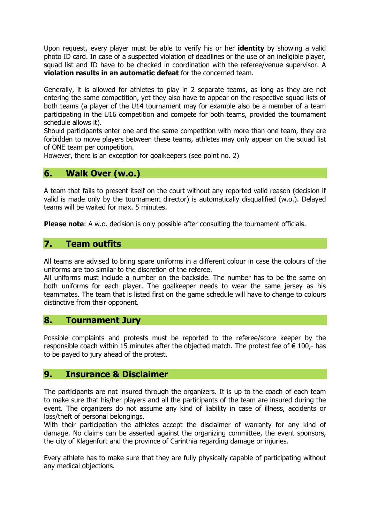Upon request, every player must be able to verify his or her **identity** by showing a valid photo ID card. In case of a suspected violation of deadlines or the use of an ineligible player, squad list and ID have to be checked in coordination with the referee/venue supervisor. A **violation results in an automatic defeat** for the concerned team.

Generally, it is allowed for athletes to play in 2 separate teams, as long as they are not entering the same competition, yet they also have to appear on the respective squad lists of both teams (a player of the U14 tournament may for example also be a member of a team participating in the U16 competition and compete for both teams, provided the tournament schedule allows it).

Should participants enter one and the same competition with more than one team, they are forbidden to move players between these teams, athletes may only appear on the squad list of ONE team per competition.

However, there is an exception for goalkeepers (see point no. 2)

## **6. Walk Over (w.o.)**

A team that fails to present itself on the court without any reported valid reason (decision if valid is made only by the tournament director) is automatically disqualified (w.o.). Delayed teams will be waited for max. 5 minutes.

**Please note:** A w.o. decision is only possible after consulting the tournament officials.

## **7. Team outfits**

All teams are advised to bring spare uniforms in a different colour in case the colours of the uniforms are too similar to the discretion of the referee.

All uniforms must include a number on the backside. The number has to be the same on both uniforms for each player. The goalkeeper needs to wear the same jersey as his teammates. The team that is listed first on the game schedule will have to change to colours distinctive from their opponent.

#### **8. Tournament Jury**

Possible complaints and protests must be reported to the referee/score keeper by the responsible coach within 15 minutes after the objected match. The protest fee of  $\epsilon$  100,- has to be payed to jury ahead of the protest.

#### **9. Insurance & Disclaimer**

The participants are not insured through the organizers. It is up to the coach of each team to make sure that his/her players and all the participants of the team are insured during the event. The organizers do not assume any kind of liability in case of illness, accidents or loss/theft of personal belongings.

With their participation the athletes accept the disclaimer of warranty for any kind of damage. No claims can be asserted against the organizing committee, the event sponsors, the city of Klagenfurt and the province of Carinthia regarding damage or injuries.

Every athlete has to make sure that they are fully physically capable of participating without any medical objections.